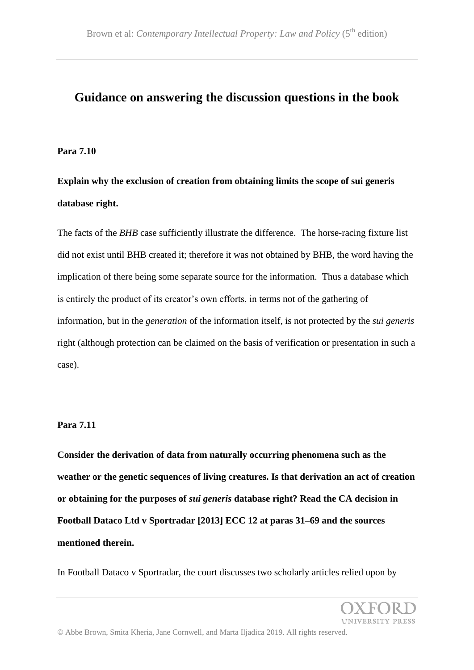### **Guidance on answering the discussion questions in the book**

#### **Para 7.10**

# **Explain why the exclusion of creation from obtaining limits the scope of sui generis database right.**

The facts of the *BHB* case sufficiently illustrate the difference. The horse-racing fixture list did not exist until BHB created it; therefore it was not obtained by BHB, the word having the implication of there being some separate source for the information. Thus a database which is entirely the product of its creator's own efforts, in terms not of the gathering of information, but in the *generation* of the information itself, is not protected by the *sui generis* right (although protection can be claimed on the basis of verification or presentation in such a case).

#### **Para 7.11**

**Consider the derivation of data from naturally occurring phenomena such as the weather or the genetic sequences of living creatures. Is that derivation an act of creation or obtaining for the purposes of** *sui generis* **database right? Read the CA decision in Football Dataco Ltd v Sportradar [2013] ECC 12 at paras 31–69 and the sources mentioned therein.**

In Football Dataco v Sportradar, the court discusses two scholarly articles relied upon by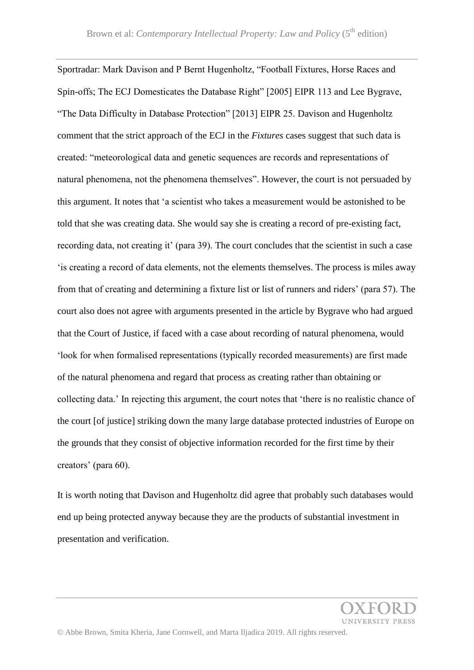Sportradar: Mark Davison and P Bernt Hugenholtz, "Football Fixtures, Horse Races and Spin-offs; The ECJ Domesticates the Database Right" [2005] EIPR 113 and Lee Bygrave, "The Data Difficulty in Database Protection" [2013] EIPR 25. Davison and Hugenholtz comment that the strict approach of the ECJ in the *Fixtures* cases suggest that such data is created: "meteorological data and genetic sequences are records and representations of natural phenomena, not the phenomena themselves". However, the court is not persuaded by this argument. It notes that 'a scientist who takes a measurement would be astonished to be told that she was creating data. She would say she is creating a record of pre-existing fact, recording data, not creating it' (para 39). The court concludes that the scientist in such a case 'is creating a record of data elements, not the elements themselves. The process is miles away from that of creating and determining a fixture list or list of runners and riders' (para 57). The court also does not agree with arguments presented in the article by Bygrave who had argued that the Court of Justice, if faced with a case about recording of natural phenomena, would 'look for when formalised representations (typically recorded measurements) are first made of the natural phenomena and regard that process as creating rather than obtaining or collecting data.' In rejecting this argument, the court notes that 'there is no realistic chance of the court [of justice] striking down the many large database protected industries of Europe on the grounds that they consist of objective information recorded for the first time by their creators' (para 60).

It is worth noting that Davison and Hugenholtz did agree that probably such databases would end up being protected anyway because they are the products of substantial investment in presentation and verification.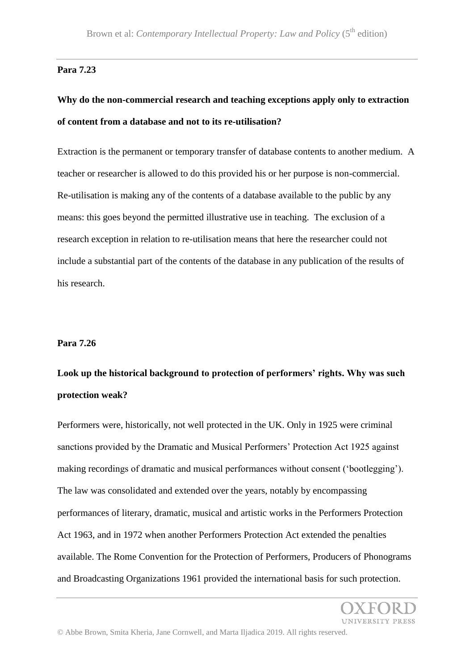#### **Para 7.23**

### **Why do the non-commercial research and teaching exceptions apply only to extraction of content from a database and not to its re-utilisation?**

Extraction is the permanent or temporary transfer of database contents to another medium. A teacher or researcher is allowed to do this provided his or her purpose is non-commercial. Re-utilisation is making any of the contents of a database available to the public by any means: this goes beyond the permitted illustrative use in teaching. The exclusion of a research exception in relation to re-utilisation means that here the researcher could not include a substantial part of the contents of the database in any publication of the results of his research.

#### **Para 7.26**

### **Look up the historical background to protection of performers' rights. Why was such protection weak?**

Performers were, historically, not well protected in the UK. Only in 1925 were criminal sanctions provided by the Dramatic and Musical Performers' Protection Act 1925 against making recordings of dramatic and musical performances without consent ('bootlegging'). The law was consolidated and extended over the years, notably by encompassing performances of literary, dramatic, musical and artistic works in the Performers Protection Act 1963, and in 1972 when another Performers Protection Act extended the penalties available. The Rome Convention for the Protection of Performers, Producers of Phonograms and Broadcasting Organizations 1961 provided the international basis for such protection.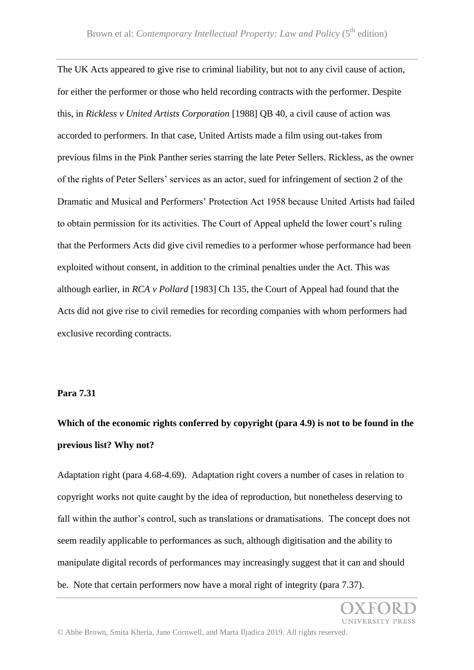The UK Acts appeared to give rise to criminal liability, but not to any civil cause of action, for either the performer or those who held recording contracts with the performer. Despite this, in *Rickless v United Artists Corporation* [1988] QB 40, a civil cause of action was accorded to performers. In that case, United Artists made a film using out-takes from previous films in the Pink Panther series starring the late Peter Sellers. Rickless, as the owner of the rights of Peter Sellers' services as an actor, sued for infringement of section 2 of the Dramatic and Musical and Performers' Protection Act 1958 because United Artists had failed to obtain permission for its activities. The Court of Appeal upheld the lower court's ruling that the Performers Acts did give civil remedies to a performer whose performance had been exploited without consent, in addition to the criminal penalties under the Act. This was although earlier, in *RCA v Pollard* [1983] Ch 135, the Court of Appeal had found that the Acts did not give rise to civil remedies for recording companies with whom performers had exclusive recording contracts.

#### **Para 7.31**

### **Which of the economic rights conferred by copyright (para 4.9) is not to be found in the previous list? Why not?**

Adaptation right (para 4.68-4.69). Adaptation right covers a number of cases in relation to copyright works not quite caught by the idea of reproduction, but nonetheless deserving to fall within the author's control, such as translations or dramatisations. The concept does not seem readily applicable to performances as such, although digitisation and the ability to manipulate digital records of performances may increasingly suggest that it can and should be. Note that certain performers now have a moral right of integrity (para 7.37).

UNIVERSITY PRESS